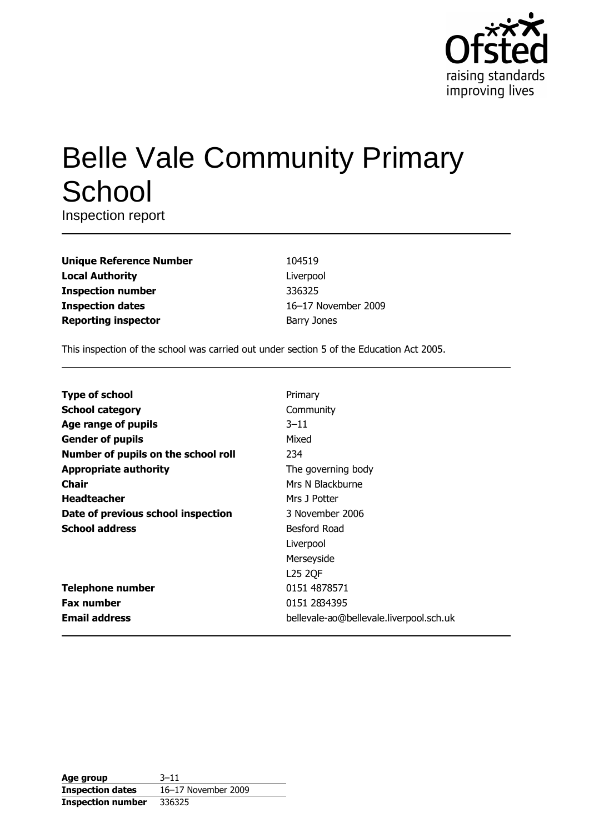

# **Belle Vale Community Primary** School

Inspection report

| <b>Unique Reference Number</b> |
|--------------------------------|
| <b>Local Authority</b>         |
| <b>Inspection number</b>       |
| <b>Inspection dates</b>        |
| <b>Reporting inspector</b>     |

104519 Liverpool 336325 16-17 November 2009 **Barry Jones** 

This inspection of the school was carried out under section 5 of the Education Act 2005.

| <b>Type of school</b>               | Primary                                 |
|-------------------------------------|-----------------------------------------|
| <b>School category</b>              | Community                               |
| Age range of pupils                 | $3 - 11$                                |
| <b>Gender of pupils</b>             | Mixed                                   |
| Number of pupils on the school roll | 234                                     |
| <b>Appropriate authority</b>        | The governing body                      |
| <b>Chair</b>                        | Mrs N Blackburne                        |
| <b>Headteacher</b>                  | Mrs J Potter                            |
| Date of previous school inspection  | 3 November 2006                         |
| <b>School address</b>               | Besford Road                            |
|                                     | Liverpool                               |
|                                     | Merseyside                              |
|                                     | <b>L25 2QF</b>                          |
| <b>Telephone number</b>             | 0151 4878571                            |
| <b>Fax number</b>                   | 0151 2834395                            |
| <b>Email address</b>                | bellevale-ao@bellevale.liverpool.sch.uk |

| Age group                | $3 - 11$            |
|--------------------------|---------------------|
| <b>Inspection dates</b>  | 16-17 November 2009 |
| <b>Inspection number</b> | 336325              |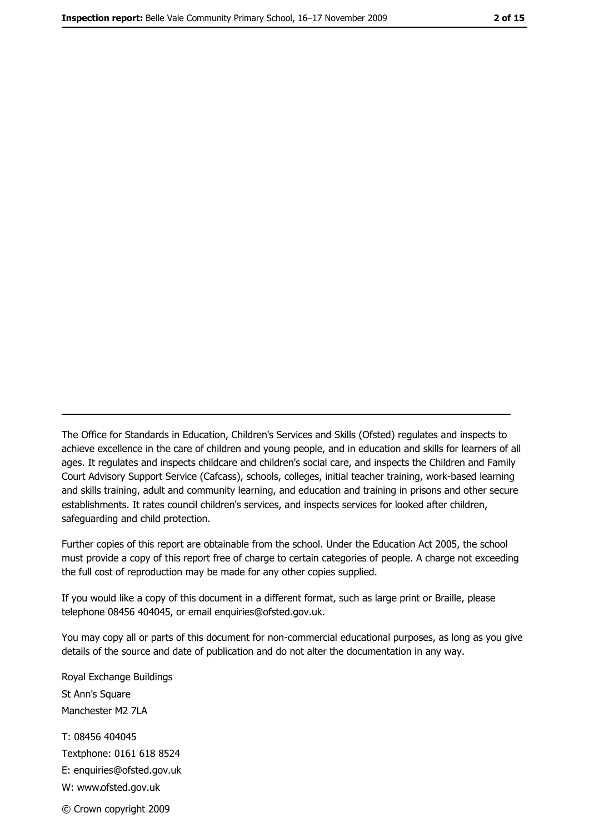The Office for Standards in Education, Children's Services and Skills (Ofsted) regulates and inspects to achieve excellence in the care of children and young people, and in education and skills for learners of all ages. It regulates and inspects childcare and children's social care, and inspects the Children and Family Court Advisory Support Service (Cafcass), schools, colleges, initial teacher training, work-based learning and skills training, adult and community learning, and education and training in prisons and other secure establishments. It rates council children's services, and inspects services for looked after children, safequarding and child protection.

Further copies of this report are obtainable from the school. Under the Education Act 2005, the school must provide a copy of this report free of charge to certain categories of people. A charge not exceeding the full cost of reproduction may be made for any other copies supplied.

If you would like a copy of this document in a different format, such as large print or Braille, please telephone 08456 404045, or email enquiries@ofsted.gov.uk.

You may copy all or parts of this document for non-commercial educational purposes, as long as you give details of the source and date of publication and do not alter the documentation in any way.

Royal Exchange Buildings St Ann's Square Manchester M2 7LA T: 08456 404045 Textphone: 0161 618 8524 E: enquiries@ofsted.gov.uk W: www.ofsted.gov.uk © Crown copyright 2009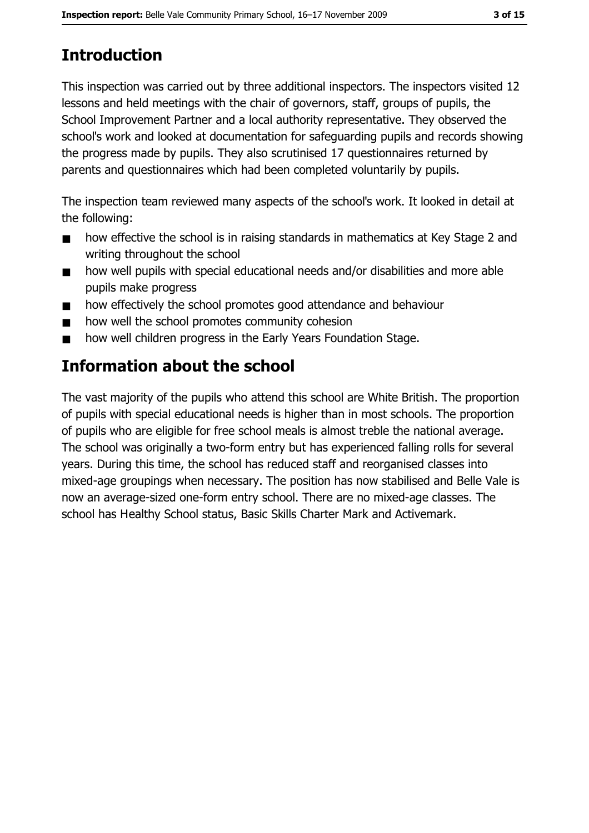# **Introduction**

This inspection was carried out by three additional inspectors. The inspectors visited 12 lessons and held meetings with the chair of governors, staff, groups of pupils, the School Improvement Partner and a local authority representative. They observed the school's work and looked at documentation for safeguarding pupils and records showing the progress made by pupils. They also scrutinised 17 questionnaires returned by parents and questionnaires which had been completed voluntarily by pupils.

The inspection team reviewed many aspects of the school's work. It looked in detail at the following:

- $\blacksquare$ how effective the school is in raising standards in mathematics at Key Stage 2 and writing throughout the school
- how well pupils with special educational needs and/or disabilities and more able  $\blacksquare$ pupils make progress
- how effectively the school promotes good attendance and behaviour  $\blacksquare$
- how well the school promotes community cohesion
- how well children progress in the Early Years Foundation Stage.  $\blacksquare$

# Information about the school

The vast majority of the pupils who attend this school are White British. The proportion of pupils with special educational needs is higher than in most schools. The proportion of pupils who are eligible for free school meals is almost treble the national average. The school was originally a two-form entry but has experienced falling rolls for several years. During this time, the school has reduced staff and reorganised classes into mixed-age groupings when necessary. The position has now stabilised and Belle Vale is now an average-sized one-form entry school. There are no mixed-age classes. The school has Healthy School status, Basic Skills Charter Mark and Activemark.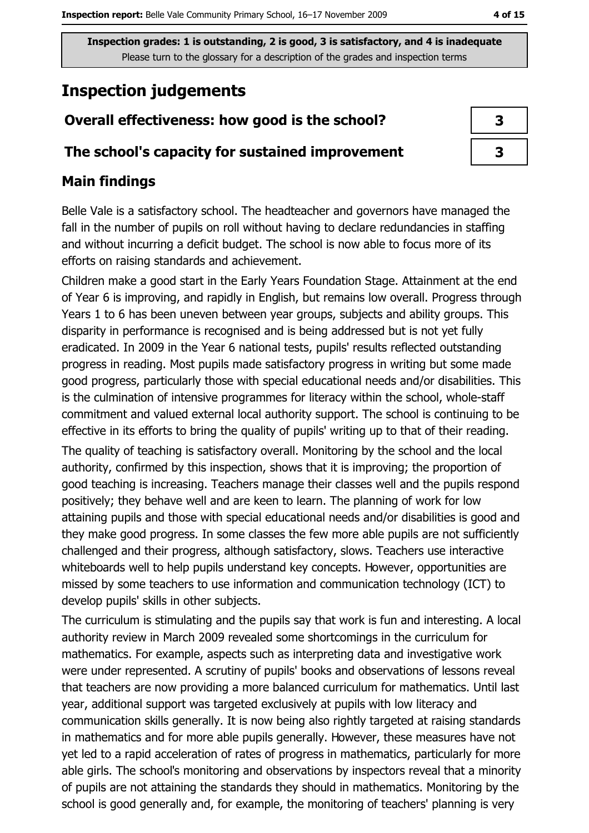# **Inspection judgements**

## Overall effectiveness: how good is the school?

#### The school's capacity for sustained improvement

#### **Main findings**

Belle Vale is a satisfactory school. The headteacher and governors have managed the fall in the number of pupils on roll without having to declare redundancies in staffing and without incurring a deficit budget. The school is now able to focus more of its efforts on raising standards and achievement.

Children make a good start in the Early Years Foundation Stage. Attainment at the end of Year 6 is improving, and rapidly in English, but remains low overall. Progress through Years 1 to 6 has been uneven between year groups, subjects and ability groups. This disparity in performance is recognised and is being addressed but is not yet fully eradicated. In 2009 in the Year 6 national tests, pupils' results reflected outstanding progress in reading. Most pupils made satisfactory progress in writing but some made good progress, particularly those with special educational needs and/or disabilities. This is the culmination of intensive programmes for literacy within the school, whole-staff commitment and valued external local authority support. The school is continuing to be effective in its efforts to bring the quality of pupils' writing up to that of their reading. The quality of teaching is satisfactory overall. Monitoring by the school and the local authority, confirmed by this inspection, shows that it is improving; the proportion of good teaching is increasing. Teachers manage their classes well and the pupils respond positively; they behave well and are keen to learn. The planning of work for low attaining pupils and those with special educational needs and/or disabilities is good and they make good progress. In some classes the few more able pupils are not sufficiently challenged and their progress, although satisfactory, slows. Teachers use interactive whiteboards well to help pupils understand key concepts. However, opportunities are missed by some teachers to use information and communication technology (ICT) to develop pupils' skills in other subjects.

The curriculum is stimulating and the pupils say that work is fun and interesting. A local authority review in March 2009 revealed some shortcomings in the curriculum for mathematics. For example, aspects such as interpreting data and investigative work were under represented. A scrutiny of pupils' books and observations of lessons reveal that teachers are now providing a more balanced curriculum for mathematics. Until last year, additional support was targeted exclusively at pupils with low literacy and communication skills generally. It is now being also rightly targeted at raising standards in mathematics and for more able pupils generally. However, these measures have not yet led to a rapid acceleration of rates of progress in mathematics, particularly for more able girls. The school's monitoring and observations by inspectors reveal that a minority of pupils are not attaining the standards they should in mathematics. Monitoring by the school is good generally and, for example, the monitoring of teachers' planning is very

| 3 |
|---|
| 3 |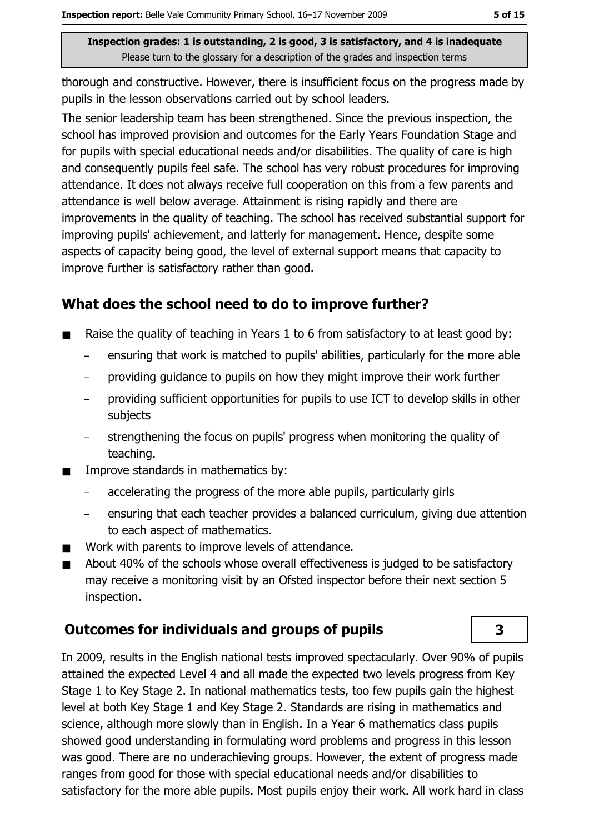thorough and constructive. However, there is insufficient focus on the progress made by pupils in the lesson observations carried out by school leaders.

The senior leadership team has been strengthened. Since the previous inspection, the school has improved provision and outcomes for the Early Years Foundation Stage and for pupils with special educational needs and/or disabilities. The quality of care is high and consequently pupils feel safe. The school has very robust procedures for improving attendance. It does not always receive full cooperation on this from a few parents and attendance is well below average. Attainment is rising rapidly and there are improvements in the quality of teaching. The school has received substantial support for improving pupils' achievement, and latterly for management. Hence, despite some aspects of capacity being good, the level of external support means that capacity to improve further is satisfactory rather than good.

#### What does the school need to do to improve further?

- Raise the quality of teaching in Years 1 to 6 from satisfactory to at least good by:  $\blacksquare$ 
	- ensuring that work is matched to pupils' abilities, particularly for the more able
	- providing quidance to pupils on how they might improve their work further
	- providing sufficient opportunities for pupils to use ICT to develop skills in other subjects
	- strengthening the focus on pupils' progress when monitoring the quality of teaching.
- Improve standards in mathematics by:  $\blacksquare$ 
	- accelerating the progress of the more able pupils, particularly girls
	- ensuring that each teacher provides a balanced curriculum, giving due attention  $\equiv$ to each aspect of mathematics.
- Work with parents to improve levels of attendance.  $\blacksquare$
- About 40% of the schools whose overall effectiveness is judged to be satisfactory  $\blacksquare$ may receive a monitoring visit by an Ofsted inspector before their next section 5 inspection.

## **Outcomes for individuals and groups of pupils**

In 2009, results in the English national tests improved spectacularly. Over 90% of pupils attained the expected Level 4 and all made the expected two levels progress from Key Stage 1 to Key Stage 2. In national mathematics tests, too few pupils gain the highest level at both Key Stage 1 and Key Stage 2. Standards are rising in mathematics and science, although more slowly than in English. In a Year 6 mathematics class pupils showed good understanding in formulating word problems and progress in this lesson was good. There are no underachieving groups. However, the extent of progress made ranges from good for those with special educational needs and/or disabilities to satisfactory for the more able pupils. Most pupils enjoy their work. All work hard in class

3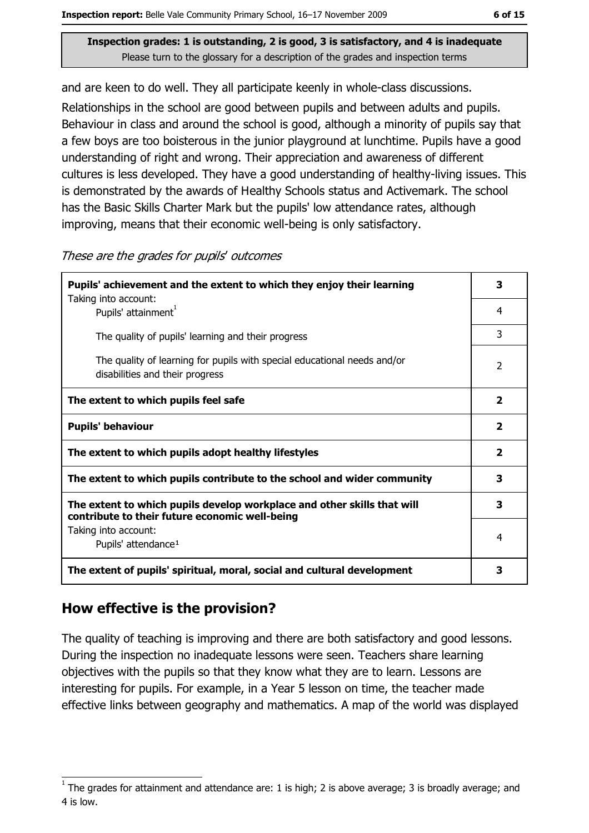and are keen to do well. They all participate keenly in whole-class discussions.

Relationships in the school are good between pupils and between adults and pupils. Behaviour in class and around the school is good, although a minority of pupils say that a few boys are too boisterous in the junior playground at lunchtime. Pupils have a good understanding of right and wrong. Their appreciation and awareness of different cultures is less developed. They have a good understanding of healthy-living issues. This is demonstrated by the awards of Healthy Schools status and Activemark. The school has the Basic Skills Charter Mark but the pupils' low attendance rates, although improving, means that their economic well-being is only satisfactory.

| Pupils' achievement and the extent to which they enjoy their learning                                                     |  |
|---------------------------------------------------------------------------------------------------------------------------|--|
| Taking into account:<br>Pupils' attainment <sup>1</sup>                                                                   |  |
| The quality of pupils' learning and their progress                                                                        |  |
| The quality of learning for pupils with special educational needs and/or<br>disabilities and their progress               |  |
| The extent to which pupils feel safe                                                                                      |  |
| <b>Pupils' behaviour</b>                                                                                                  |  |
| The extent to which pupils adopt healthy lifestyles                                                                       |  |
| The extent to which pupils contribute to the school and wider community                                                   |  |
| The extent to which pupils develop workplace and other skills that will<br>contribute to their future economic well-being |  |
| Taking into account:<br>Pupils' attendance <sup>1</sup>                                                                   |  |
| The extent of pupils' spiritual, moral, social and cultural development                                                   |  |

These are the grades for pupils' outcomes

## How effective is the provision?

The quality of teaching is improving and there are both satisfactory and good lessons. During the inspection no inadequate lessons were seen. Teachers share learning objectives with the pupils so that they know what they are to learn. Lessons are interesting for pupils. For example, in a Year 5 lesson on time, the teacher made effective links between geography and mathematics. A map of the world was displayed

3

 $\overline{4}$ 

3

 $\overline{2}$ 

 $\overline{2}$ 

 $\overline{\mathbf{2}}$ 

 $2<sup>1</sup>$ 

 $\overline{\mathbf{3}}$ 

 $\overline{\mathbf{3}}$ 

 $\overline{4}$ 

 $\overline{\mathbf{3}}$ 

The grades for attainment and attendance are: 1 is high; 2 is above average; 3 is broadly average; and 4 is low.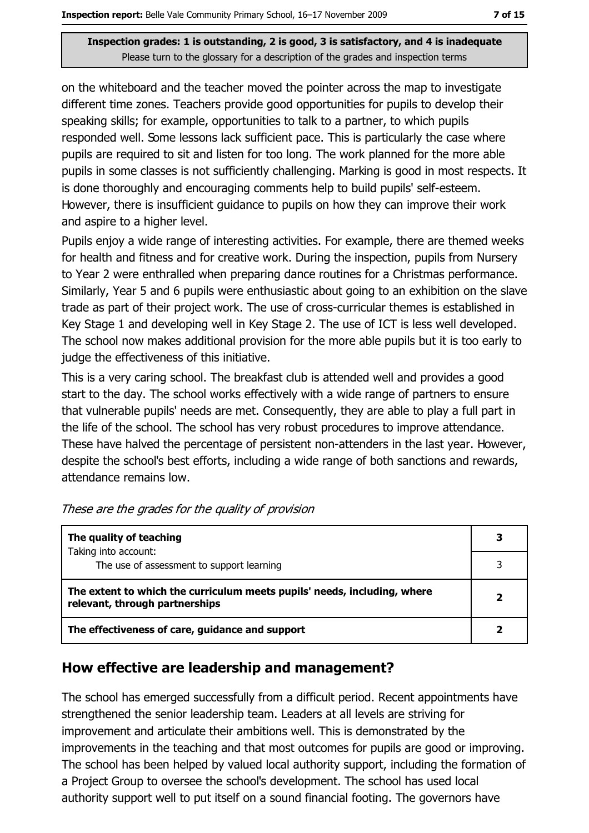on the whiteboard and the teacher moved the pointer across the map to investigate different time zones. Teachers provide good opportunities for pupils to develop their speaking skills; for example, opportunities to talk to a partner, to which pupils responded well. Some lessons lack sufficient pace. This is particularly the case where pupils are required to sit and listen for too long. The work planned for the more able pupils in some classes is not sufficiently challenging. Marking is good in most respects. It is done thoroughly and encouraging comments help to build pupils' self-esteem. However, there is insufficient quidance to pupils on how they can improve their work and aspire to a higher level.

Pupils enjoy a wide range of interesting activities. For example, there are themed weeks for health and fitness and for creative work. During the inspection, pupils from Nursery to Year 2 were enthralled when preparing dance routines for a Christmas performance. Similarly, Year 5 and 6 pupils were enthusiastic about going to an exhibition on the slave trade as part of their project work. The use of cross-curricular themes is established in Key Stage 1 and developing well in Key Stage 2. The use of ICT is less well developed. The school now makes additional provision for the more able pupils but it is too early to judge the effectiveness of this initiative.

This is a very caring school. The breakfast club is attended well and provides a good start to the day. The school works effectively with a wide range of partners to ensure that vulnerable pupils' needs are met. Consequently, they are able to play a full part in the life of the school. The school has very robust procedures to improve attendance. These have halved the percentage of persistent non-attenders in the last year. However, despite the school's best efforts, including a wide range of both sanctions and rewards, attendance remains low.

| The quality of teaching                                                                                    | 3 |
|------------------------------------------------------------------------------------------------------------|---|
| Taking into account:<br>The use of assessment to support learning                                          |   |
| The extent to which the curriculum meets pupils' needs, including, where<br>relevant, through partnerships |   |
| The effectiveness of care, guidance and support                                                            |   |

#### How effective are leadership and management?

The school has emerged successfully from a difficult period. Recent appointments have strengthened the senior leadership team. Leaders at all levels are striving for improvement and articulate their ambitions well. This is demonstrated by the improvements in the teaching and that most outcomes for pupils are good or improving. The school has been helped by valued local authority support, including the formation of a Project Group to oversee the school's development. The school has used local authority support well to put itself on a sound financial footing. The governors have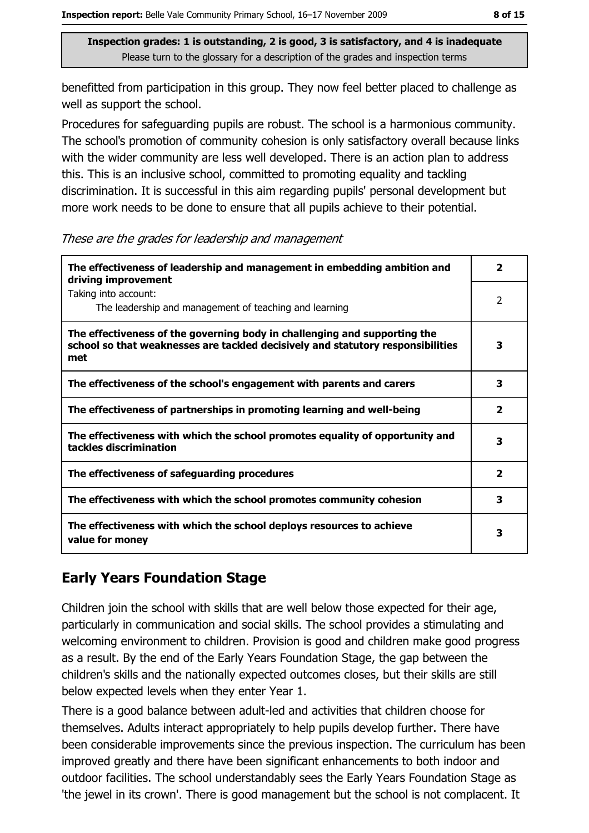benefitted from participation in this group. They now feel better placed to challenge as well as support the school.

Procedures for safeguarding pupils are robust. The school is a harmonious community. The school's promotion of community cohesion is only satisfactory overall because links with the wider community are less well developed. There is an action plan to address this. This is an inclusive school, committed to promoting equality and tackling discrimination. It is successful in this aim regarding pupils' personal development but more work needs to be done to ensure that all pupils achieve to their potential.

These are the grades for leadership and management

| The effectiveness of leadership and management in embedding ambition and<br>driving improvement                                                                     |                         |  |
|---------------------------------------------------------------------------------------------------------------------------------------------------------------------|-------------------------|--|
| Taking into account:<br>The leadership and management of teaching and learning                                                                                      | $\overline{2}$          |  |
| The effectiveness of the governing body in challenging and supporting the<br>school so that weaknesses are tackled decisively and statutory responsibilities<br>met | 3                       |  |
| The effectiveness of the school's engagement with parents and carers                                                                                                | 3                       |  |
| The effectiveness of partnerships in promoting learning and well-being                                                                                              | $\overline{\mathbf{2}}$ |  |
| The effectiveness with which the school promotes equality of opportunity and<br>tackles discrimination                                                              | 3                       |  |
| The effectiveness of safeguarding procedures                                                                                                                        | $\overline{\mathbf{2}}$ |  |
| The effectiveness with which the school promotes community cohesion                                                                                                 | 3                       |  |
| The effectiveness with which the school deploys resources to achieve<br>value for money                                                                             | з                       |  |

## **Early Years Foundation Stage**

Children join the school with skills that are well below those expected for their age, particularly in communication and social skills. The school provides a stimulating and welcoming environment to children. Provision is good and children make good progress as a result. By the end of the Early Years Foundation Stage, the gap between the children's skills and the nationally expected outcomes closes, but their skills are still below expected levels when they enter Year 1.

There is a good balance between adult-led and activities that children choose for themselves. Adults interact appropriately to help pupils develop further. There have been considerable improvements since the previous inspection. The curriculum has been improved greatly and there have been significant enhancements to both indoor and outdoor facilities. The school understandably sees the Early Years Foundation Stage as 'the jewel in its crown'. There is good management but the school is not complacent. It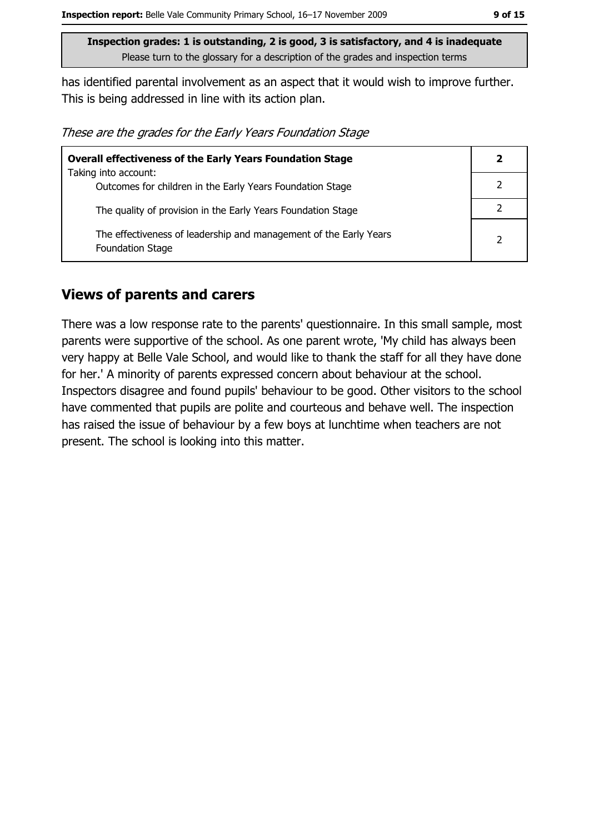has identified parental involvement as an aspect that it would wish to improve further. This is being addressed in line with its action plan.

These are the grades for the Early Years Foundation Stage

| <b>Overall effectiveness of the Early Years Foundation Stage</b>                      |               |  |
|---------------------------------------------------------------------------------------|---------------|--|
| Taking into account:                                                                  |               |  |
| Outcomes for children in the Early Years Foundation Stage                             |               |  |
| The quality of provision in the Early Years Foundation Stage                          |               |  |
| The effectiveness of leadership and management of the Early Years<br>Foundation Stage | $\mathcal{P}$ |  |

#### **Views of parents and carers**

There was a low response rate to the parents' questionnaire. In this small sample, most parents were supportive of the school. As one parent wrote, 'My child has always been very happy at Belle Vale School, and would like to thank the staff for all they have done for her.' A minority of parents expressed concern about behaviour at the school. Inspectors disagree and found pupils' behaviour to be good. Other visitors to the school have commented that pupils are polite and courteous and behave well. The inspection has raised the issue of behaviour by a few boys at lunchtime when teachers are not present. The school is looking into this matter.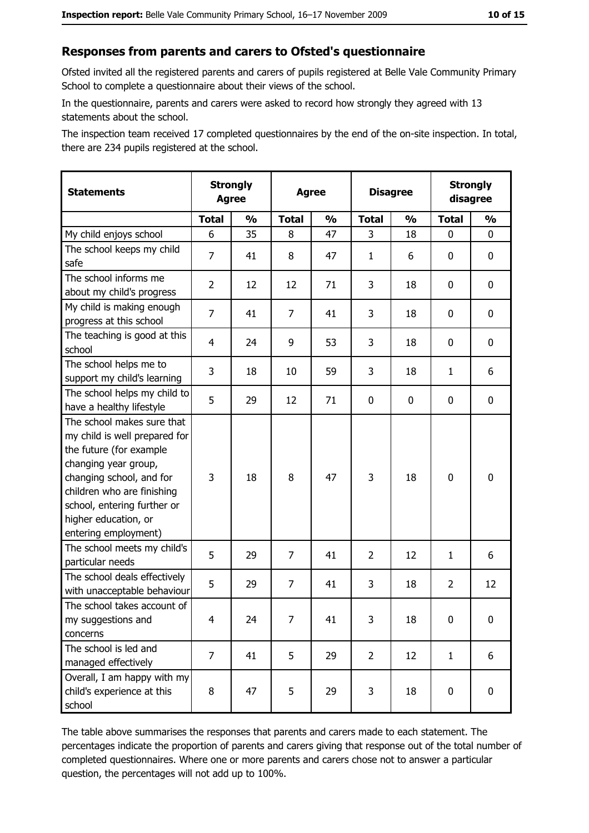#### Responses from parents and carers to Ofsted's questionnaire

Ofsted invited all the registered parents and carers of pupils registered at Belle Vale Community Primary School to complete a questionnaire about their views of the school.

In the questionnaire, parents and carers were asked to record how strongly they agreed with 13 statements about the school.

The inspection team received 17 completed questionnaires by the end of the on-site inspection. In total, there are 234 pupils registered at the school.

| <b>Statements</b>                                                                                                                                                                                                                                       | <b>Strongly</b><br><b>Agree</b> |               |              | <b>Agree</b>  |                | <b>Disagree</b> |                | <b>Strongly</b><br>disagree |
|---------------------------------------------------------------------------------------------------------------------------------------------------------------------------------------------------------------------------------------------------------|---------------------------------|---------------|--------------|---------------|----------------|-----------------|----------------|-----------------------------|
|                                                                                                                                                                                                                                                         | <b>Total</b>                    | $\frac{1}{2}$ | <b>Total</b> | $\frac{1}{2}$ | <b>Total</b>   | $\frac{0}{0}$   | <b>Total</b>   | $\frac{1}{2}$               |
| My child enjoys school                                                                                                                                                                                                                                  | 6                               | 35            | 8            | 47            | 3              | 18              | 0              | 0                           |
| The school keeps my child<br>safe                                                                                                                                                                                                                       | $\overline{7}$                  | 41            | 8            | 47            | $\mathbf{1}$   | 6               | 0              | 0                           |
| The school informs me<br>about my child's progress                                                                                                                                                                                                      | 2                               | 12            | 12           | 71            | 3              | 18              | $\mathbf{0}$   | 0                           |
| My child is making enough<br>progress at this school                                                                                                                                                                                                    | 7                               | 41            | 7            | 41            | 3              | 18              | 0              | 0                           |
| The teaching is good at this<br>school                                                                                                                                                                                                                  | 4                               | 24            | 9            | 53            | 3              | 18              | 0              | 0                           |
| The school helps me to<br>support my child's learning                                                                                                                                                                                                   | 3                               | 18            | 10           | 59            | 3              | 18              | 1              | 6                           |
| The school helps my child to<br>have a healthy lifestyle                                                                                                                                                                                                | 5                               | 29            | 12           | 71            | $\mathbf 0$    | 0               | 0              | 0                           |
| The school makes sure that<br>my child is well prepared for<br>the future (for example<br>changing year group,<br>changing school, and for<br>children who are finishing<br>school, entering further or<br>higher education, or<br>entering employment) | 3                               | 18            | 8            | 47            | 3              | 18              | $\mathbf 0$    | 0                           |
| The school meets my child's<br>particular needs                                                                                                                                                                                                         | 5                               | 29            | 7            | 41            | $\overline{2}$ | 12              | 1              | 6                           |
| The school deals effectively<br>with unacceptable behaviour                                                                                                                                                                                             | 5                               | 29            | 7            | 41            | 3              | 18              | $\overline{2}$ | 12                          |
| The school takes account of<br>my suggestions and<br>concerns                                                                                                                                                                                           | 4                               | 24            | 7            | 41            | 3              | 18              | 0              | 0                           |
| The school is led and<br>managed effectively                                                                                                                                                                                                            | $\overline{7}$                  | 41            | 5            | 29            | $\overline{2}$ | 12              | $\mathbf{1}$   | 6                           |
| Overall, I am happy with my<br>child's experience at this<br>school                                                                                                                                                                                     | 8                               | 47            | 5            | 29            | 3              | 18              | $\mathbf 0$    | 0                           |

The table above summarises the responses that parents and carers made to each statement. The percentages indicate the proportion of parents and carers giving that response out of the total number of completed questionnaires. Where one or more parents and carers chose not to answer a particular question, the percentages will not add up to 100%.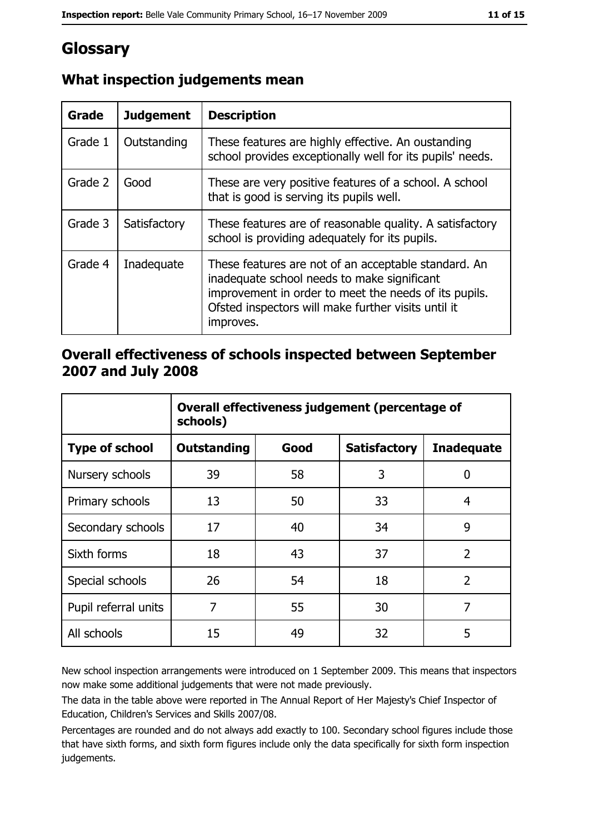# Glossary

| Grade   | <b>Judgement</b> | <b>Description</b>                                                                                                                                                                                                               |
|---------|------------------|----------------------------------------------------------------------------------------------------------------------------------------------------------------------------------------------------------------------------------|
| Grade 1 | Outstanding      | These features are highly effective. An oustanding<br>school provides exceptionally well for its pupils' needs.                                                                                                                  |
| Grade 2 | Good             | These are very positive features of a school. A school<br>that is good is serving its pupils well.                                                                                                                               |
| Grade 3 | Satisfactory     | These features are of reasonable quality. A satisfactory<br>school is providing adequately for its pupils.                                                                                                                       |
| Grade 4 | Inadequate       | These features are not of an acceptable standard. An<br>inadequate school needs to make significant<br>improvement in order to meet the needs of its pupils.<br>Ofsted inspectors will make further visits until it<br>improves. |

#### What inspection judgements mean

#### Overall effectiveness of schools inspected between September 2007 and July 2008

|                       | Overall effectiveness judgement (percentage of<br>schools) |      |                     |                   |  |  |
|-----------------------|------------------------------------------------------------|------|---------------------|-------------------|--|--|
| <b>Type of school</b> | Outstanding                                                | Good | <b>Satisfactory</b> | <b>Inadequate</b> |  |  |
| Nursery schools       | 39                                                         | 58   | 3                   | 0                 |  |  |
| Primary schools       | 13                                                         | 50   | 33                  | 4                 |  |  |
| Secondary schools     | 17                                                         | 40   | 34                  | 9                 |  |  |
| Sixth forms           | 18                                                         | 43   | 37                  | $\overline{2}$    |  |  |
| Special schools       | 26                                                         | 54   | 18                  | $\overline{2}$    |  |  |
| Pupil referral units  | 7                                                          | 55   | 30                  | 7                 |  |  |
| All schools           | 15                                                         | 49   | 32                  | 5                 |  |  |

New school inspection arrangements were introduced on 1 September 2009. This means that inspectors now make some additional judgements that were not made previously.

The data in the table above were reported in The Annual Report of Her Majesty's Chief Inspector of Education, Children's Services and Skills 2007/08.

Percentages are rounded and do not always add exactly to 100. Secondary school figures include those that have sixth forms, and sixth form figures include only the data specifically for sixth form inspection judgements.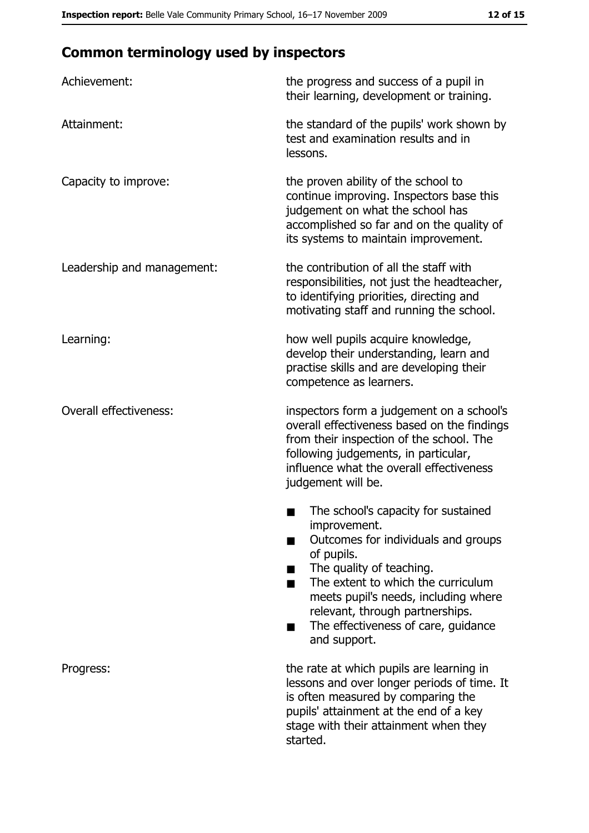# **Common terminology used by inspectors**

| Achievement:                  | the progress and success of a pupil in<br>their learning, development or training.                                                                                                                                                                                                                           |
|-------------------------------|--------------------------------------------------------------------------------------------------------------------------------------------------------------------------------------------------------------------------------------------------------------------------------------------------------------|
| Attainment:                   | the standard of the pupils' work shown by<br>test and examination results and in<br>lessons.                                                                                                                                                                                                                 |
| Capacity to improve:          | the proven ability of the school to<br>continue improving. Inspectors base this<br>judgement on what the school has<br>accomplished so far and on the quality of<br>its systems to maintain improvement.                                                                                                     |
| Leadership and management:    | the contribution of all the staff with<br>responsibilities, not just the headteacher,<br>to identifying priorities, directing and<br>motivating staff and running the school.                                                                                                                                |
| Learning:                     | how well pupils acquire knowledge,<br>develop their understanding, learn and<br>practise skills and are developing their<br>competence as learners.                                                                                                                                                          |
| <b>Overall effectiveness:</b> | inspectors form a judgement on a school's<br>overall effectiveness based on the findings<br>from their inspection of the school. The<br>following judgements, in particular,<br>influence what the overall effectiveness<br>judgement will be.                                                               |
|                               | The school's capacity for sustained<br>improvement.<br>Outcomes for individuals and groups<br>of pupils.<br>The quality of teaching.<br>The extent to which the curriculum<br>meets pupil's needs, including where<br>relevant, through partnerships.<br>The effectiveness of care, guidance<br>and support. |
| Progress:                     | the rate at which pupils are learning in<br>lessons and over longer periods of time. It<br>is often measured by comparing the<br>pupils' attainment at the end of a key<br>stage with their attainment when they<br>started.                                                                                 |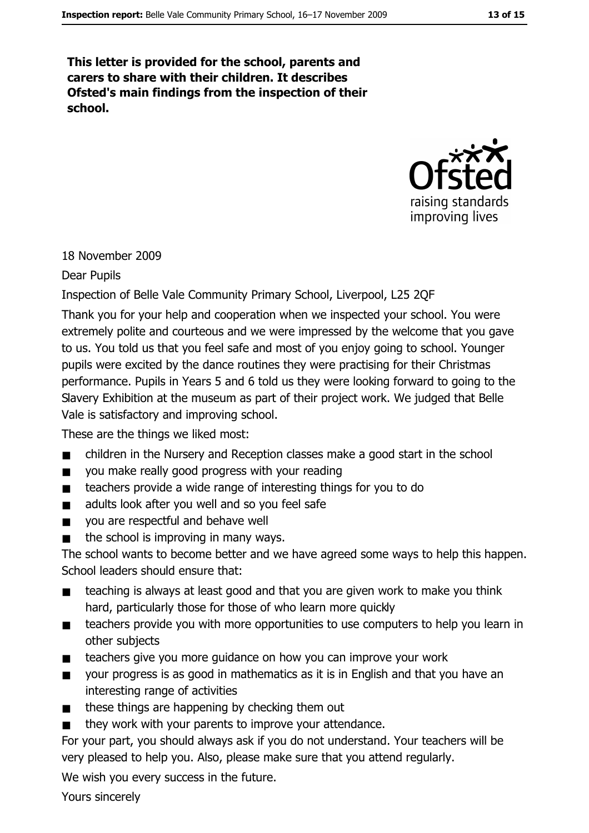This letter is provided for the school, parents and carers to share with their children. It describes Ofsted's main findings from the inspection of their school.



#### 18 November 2009

**Dear Pupils** 

#### Inspection of Belle Vale Community Primary School, Liverpool, L25 2QF

Thank you for your help and cooperation when we inspected your school. You were extremely polite and courteous and we were impressed by the welcome that you gave to us. You told us that you feel safe and most of you enjoy going to school. Younger pupils were excited by the dance routines they were practising for their Christmas performance. Pupils in Years 5 and 6 told us they were looking forward to going to the Slavery Exhibition at the museum as part of their project work. We judged that Belle Vale is satisfactory and improving school.

These are the things we liked most:

- children in the Nursery and Reception classes make a good start in the school  $\blacksquare$
- you make really good progress with your reading  $\blacksquare$
- teachers provide a wide range of interesting things for you to do  $\blacksquare$
- adults look after you well and so you feel safe  $\blacksquare$
- you are respectful and behave well  $\blacksquare$
- the school is improving in many ways.  $\blacksquare$

The school wants to become better and we have agreed some ways to help this happen. School leaders should ensure that:

- teaching is always at least good and that you are given work to make you think hard, particularly those for those of who learn more quickly
- teachers provide you with more opportunities to use computers to help you learn in  $\blacksquare$ other subjects
- teachers give you more guidance on how you can improve your work  $\blacksquare$
- your progress is as good in mathematics as it is in English and that you have an  $\blacksquare$ interesting range of activities
- these things are happening by checking them out  $\blacksquare$
- they work with your parents to improve your attendance.

For your part, you should always ask if you do not understand. Your teachers will be very pleased to help you. Also, please make sure that you attend regularly.

We wish you every success in the future.

Yours sincerely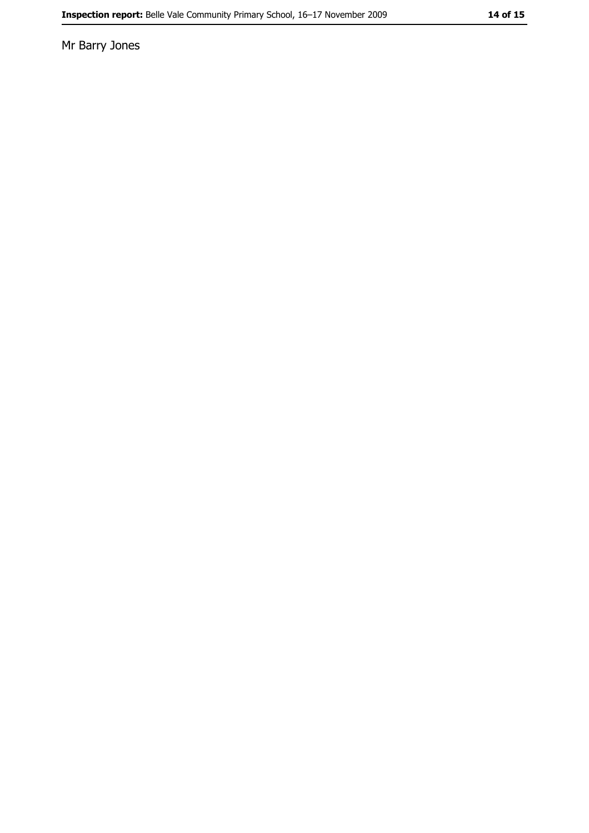Mr Barry Jones